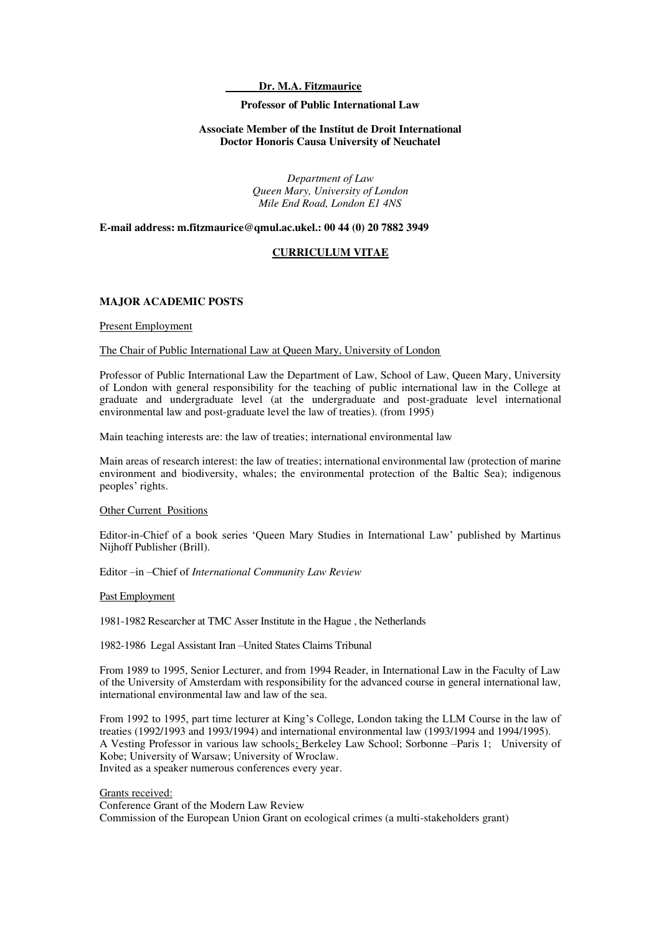### **Dr. M.A. Fitzmaurice**

### **Professor of Public International Law**

### **Associate Member of the Institut de Droit International Doctor Honoris Causa University of Neuchatel**

*Department of Law Queen Mary, University of London Mile End Road, London E1 4NS* 

**E-mail address: m.fitzmaurice@qmul.ac.ukel.: 00 44 (0) 20 7882 3949** 

### **CURRICULUM VITAE**

### **MAJOR ACADEMIC POSTS**

#### Present Employment

### The Chair of Public International Law at Queen Mary, University of London

Professor of Public International Law the Department of Law, School of Law, Queen Mary, University of London with general responsibility for the teaching of public international law in the College at graduate and undergraduate level (at the undergraduate and post-graduate level international environmental law and post-graduate level the law of treaties). (from 1995)

Main teaching interests are: the law of treaties; international environmental law

Main areas of research interest: the law of treaties; international environmental law (protection of marine environment and biodiversity, whales; the environmental protection of the Baltic Sea); indigenous peoples' rights.

#### Other Current Positions

Editor-in-Chief of a book series 'Queen Mary Studies in International Law' published by Martinus Nijhoff Publisher (Brill).

Editor –in –Chief of *International Community Law Review*

#### Past Employment

1981-1982 Researcher at TMC Asser Institute in the Hague , the Netherlands

1982-1986 Legal Assistant Iran –United States Claims Tribunal

From 1989 to 1995, Senior Lecturer, and from 1994 Reader, in International Law in the Faculty of Law of the University of Amsterdam with responsibility for the advanced course in general international law, international environmental law and law of the sea.

From 1992 to 1995, part time lecturer at King's College, London taking the LLM Course in the law of treaties (1992/1993 and 1993/1994) and international environmental law (1993/1994 and 1994/1995). A Vesting Professor in various law schools; Berkeley Law School; Sorbonne –Paris 1; University of Kobe; University of Warsaw; University of Wroclaw. Invited as a speaker numerous conferences every year.

#### Grants received:

Conference Grant of the Modern Law Review Commission of the European Union Grant on ecological crimes (a multi-stakeholders grant)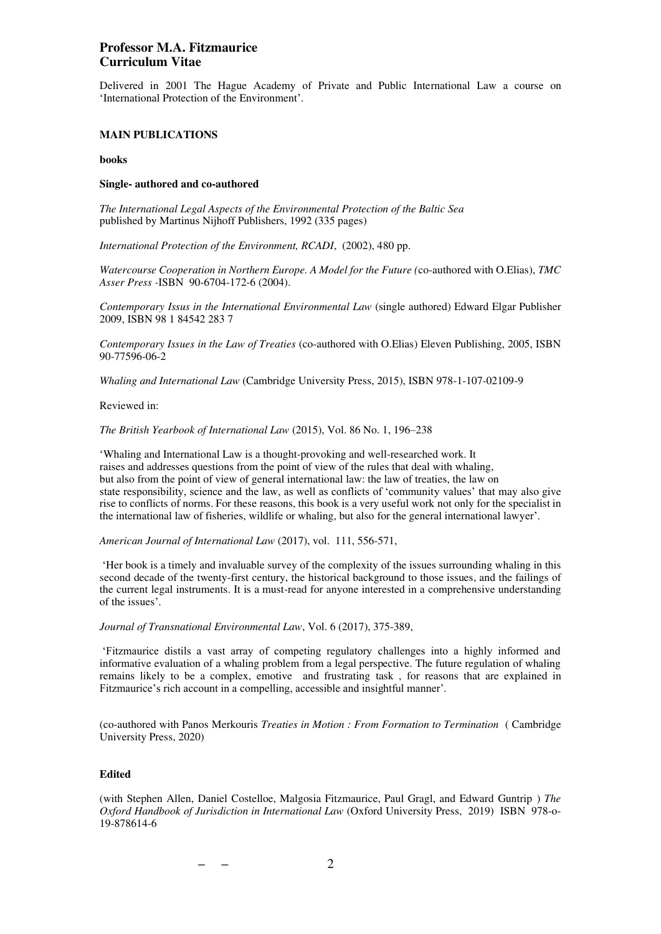Delivered in 2001 The Hague Academy of Private and Public International Law a course on 'International Protection of the Environment'.

### **MAIN PUBLICATIONS**

### **books**

### **Single- authored and co-authored**

*The International Legal Aspects of the Environmental Protection of the Baltic Sea* published by Martinus Nijhoff Publishers, 1992 (335 pages)

*International Protection of the Environment, RCADI*, (2002), 480 pp.

*Watercourse Cooperation in Northern Europe. A Model for the Future (*co-authored with O.Elias), *TMC Asser Press -*ISBN 90-6704-172-6 (2004).

*Contemporary Issus in the International Environmental Law* (single authored) Edward Elgar Publisher 2009, ISBN 98 1 84542 283 7

*Contemporary Issues in the Law of Treaties* (co-authored with O.Elias) Eleven Publishing, 2005, ISBN 90-77596-06-2

*Whaling and International Law* (Cambridge University Press, 2015), ISBN 978-1-107-02109-9

Reviewed in:

*The British Yearbook of International Law* (2015), Vol. 86 No. 1, 196–238

'Whaling and International Law is a thought-provoking and well-researched work. It raises and addresses questions from the point of view of the rules that deal with whaling, but also from the point of view of general international law: the law of treaties, the law on state responsibility, science and the law, as well as conflicts of 'community values' that may also give rise to conflicts of norms. For these reasons, this book is a very useful work not only for the specialist in the international law of fisheries, wildlife or whaling, but also for the general international lawyer'.

*American Journal of International Law* (2017), vol. 111, 556-571,

'Her book is a timely and invaluable survey of the complexity of the issues surrounding whaling in this second decade of the twenty-first century, the historical background to those issues, and the failings of the current legal instruments. It is a must-read for anyone interested in a comprehensive understanding of the issues'.

*Journal of Transnational Environmental Law*, Vol. 6 (2017), 375-389,

'Fitzmaurice distils a vast array of competing regulatory challenges into a highly informed and informative evaluation of a whaling problem from a legal perspective. The future regulation of whaling remains likely to be a complex, emotive and frustrating task , for reasons that are explained in Fitzmaurice's rich account in a compelling, accessible and insightful manner'.

(co-authored with Panos Merkouris *Treaties in Motion : From Formation to Termination* ( Cambridge University Press, 2020)

### **Edited**

(with Stephen Allen, Daniel Costelloe, Malgosia Fitzmaurice, Paul Gragl, and Edward Guntrip ) *The Oxford Handbook of Jurisdiction in International Law* (Oxford University Press, 2019) ISBN 978-o-19-878614-6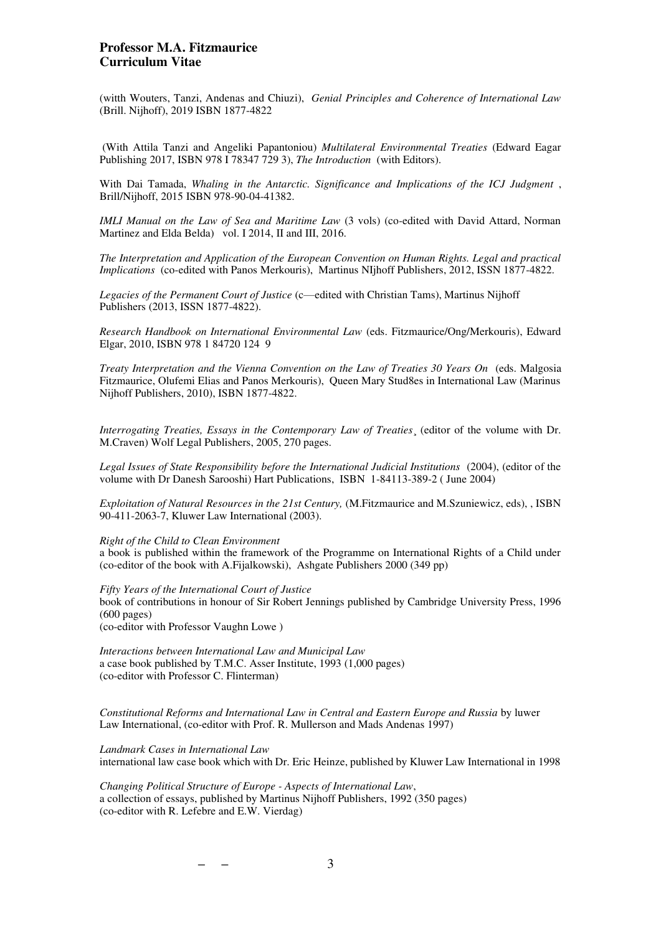(witth Wouters, Tanzi, Andenas and Chiuzi), *Genial Principles and Coherence of International Law* (Brill. Nijhoff), 2019 ISBN 1877-4822

 (With Attila Tanzi and Angeliki Papantoniou) *Multilateral Environmental Treaties* (Edward Eagar Publishing 2017, ISBN 978 I 78347 729 3), *The Introduction* (with Editors).

With Dai Tamada, *Whaling in the Antarctic. Significance and Implications of the ICJ Judgment* , Brill/Nijhoff, 2015 ISBN 978-90-04-41382.

*IMLI Manual on the Law of Sea and Maritime Law* (3 vols) (co-edited with David Attard, Norman Martinez and Elda Belda) vol. I 2014, II and III, 2016.

*The Interpretation and Application of the European Convention on Human Rights. Legal and practical Implications* (co-edited with Panos Merkouris), Martinus NIjhoff Publishers, 2012, ISSN 1877-4822.

*Legacies of the Permanent Court of Justice* (c—edited with Christian Tams), Martinus Nijhoff Publishers (2013, ISSN 1877-4822).

*Research Handbook on International Environmental Law* (eds. Fitzmaurice/Ong/Merkouris), Edward Elgar, 2010, ISBN 978 1 84720 124 9

*Treaty Interpretation and the Vienna Convention on the Law of Treaties 30 Years On* (eds. Malgosia Fitzmaurice, Olufemi Elias and Panos Merkouris), Queen Mary Stud8es in International Law (Marinus Nijhoff Publishers, 2010), ISBN 1877-4822.

*Interrogating Treaties, Essays in the Contemporary Law of Treaties*¸ (editor of the volume with Dr. M.Craven) Wolf Legal Publishers, 2005, 270 pages.

*Legal Issues of State Responsibility before the International Judicial Institutions* (2004), (editor of the volume with Dr Danesh Sarooshi) Hart Publications, ISBN 1-84113-389-2 ( June 2004)

*Exploitation of Natural Resources in the 21st Century,* (M.Fitzmaurice and M.Szuniewicz, eds), , ISBN 90-411-2063-7, Kluwer Law International (2003).

#### *Right of the Child to Clean Environment*

a book is published within the framework of the Programme on International Rights of a Child under (co-editor of the book with A.Fijalkowski), Ashgate Publishers 2000 (349 pp)

*Fifty Years of the International Court of Justice* 

book of contributions in honour of Sir Robert Jennings published by Cambridge University Press, 1996 (600 pages)

(co-editor with Professor Vaughn Lowe )

*Interactions between International Law and Municipal Law*  a case book published by T.M.C. Asser Institute, 1993 (1,000 pages) (co-editor with Professor C. Flinterman)

*Constitutional Reforms and International Law in Central and Eastern Europe and Russia* by luwer Law International, (co-editor with Prof. R. Mullerson and Mads Andenas 1997)

*Landmark Cases in International Law*  international law case book which with Dr. Eric Heinze, published by Kluwer Law International in 1998

*Changing Political Structure of Europe - Aspects of International Law*, a collection of essays, published by Martinus Nijhoff Publishers, 1992 (350 pages) (co-editor with R. Lefebre and E.W. Vierdag)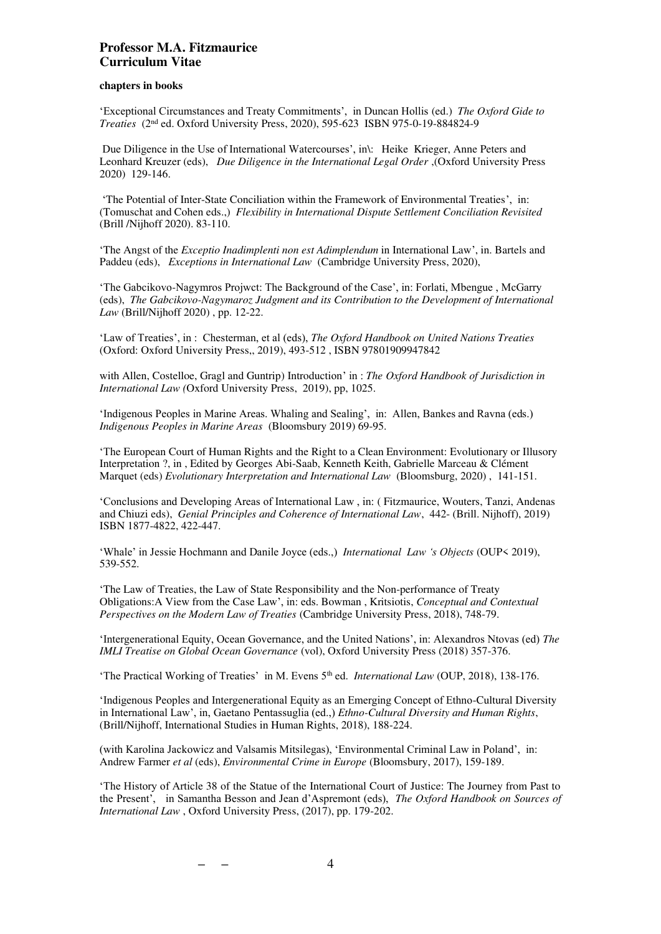### **chapters in books**

'Exceptional Circumstances and Treaty Commitments', in Duncan Hollis (ed.) *The Oxford Gide to Treaties* (2nd ed. Oxford University Press, 2020), 595-623 ISBN 975-0-19-884824-9

Due Diligence in the Use of International Watercourses', in\: Heike Krieger, Anne Peters and Leonhard Kreuzer (eds), *Due Diligence in the International Legal Order* ,(Oxford University Press 2020) 129-146.

'The Potential of Inter-State Conciliation within the Framework of Environmental Treaties', in: (Tomuschat and Cohen eds.,) *Flexibility in International Dispute Settlement Conciliation Revisited*  (Brill /Nijhoff 2020). 83-110.

'The Angst of the *Exceptio Inadimplenti non est Adimplendum* in International Law', in. Bartels and Paddeu (eds), *Exceptions in International Law* (Cambridge University Press, 2020),

'The Gabcikovo-Nagymros Projwct: The Background of the Case', in: Forlati, Mbengue , McGarry (eds), *The Gabcikovo-Nagymaroz Judgment and its Contribution to the Development of International Law* (Brill/Nijhoff 2020) , pp. 12-22.

'Law of Treaties', in : Chesterman, et al (eds), *The Oxford Handbook on United Nations Treaties*  (Oxford: Oxford University Press,, 2019), 493-512 , ISBN 97801909947842

with Allen, Costelloe, Gragl and Guntrip) Introduction' in : *The Oxford Handbook of Jurisdiction in International Law (*Oxford University Press, 2019), pp, 1025.

'Indigenous Peoples in Marine Areas. Whaling and Sealing', in: Allen, Bankes and Ravna (eds.) *Indigenous Peoples in Marine Areas* (Bloomsbury 2019) 69-95.

'The European Court of Human Rights and the Right to a Clean Environment: Evolutionary or Illusory Interpretation ?, in , Edited by Georges Abi-Saab, Kenneth Keith, Gabrielle Marceau & Clément Marquet (eds) *Evolutionary Interpretation and International Law* (Bloomsburg, 2020) , 141-151.

'Conclusions and Developing Areas of International Law , in: ( Fitzmaurice, Wouters, Tanzi, Andenas and Chiuzi eds), *Genial Principles and Coherence of International Law*, 442- (Brill. Nijhoff), 2019) ISBN 1877-4822, 422-447.

'Whale' in Jessie Hochmann and Danile Joyce (eds.,) *International Law 's Objects* (OUP< 2019), 539-552.

'The Law of Treaties, the Law of State Responsibility and the Non-performance of Treaty Obligations:A View from the Case Law', in: eds. Bowman , Kritsiotis, *Conceptual and Contextual Perspectives on the Modern Law of Treaties* (Cambridge University Press, 2018), 748-79.

'Intergenerational Equity, Ocean Governance, and the United Nations', in: Alexandros Ntovas (ed) *The IMLI Treatise on Global Ocean Governance* (vol), Oxford University Press (2018) 357-376.

'The Practical Working of Treaties' in M. Evens 5th ed. *International Law* (OUP, 2018), 138-176.

'Indigenous Peoples and Intergenerational Equity as an Emerging Concept of Ethno-Cultural Diversity in International Law', in, Gaetano Pentassuglia (ed.,) *Ethno-Cultural Diversity and Human Rights*, (Brill/Nijhoff, International Studies in Human Rights, 2018), 188-224.

(with Karolina Jackowicz and Valsamis Mitsilegas), 'Environmental Criminal Law in Poland', in: Andrew Farmer *et al* (eds), *Environmental Crime in Europe* (Bloomsbury, 2017), 159-189.

'The History of Article 38 of the Statue of the International Court of Justice: The Journey from Past to the Present', in Samantha Besson and Jean d'Aspremont (eds), *The Oxford Handbook on Sources of International Law* , Oxford University Press, (2017), pp. 179-202.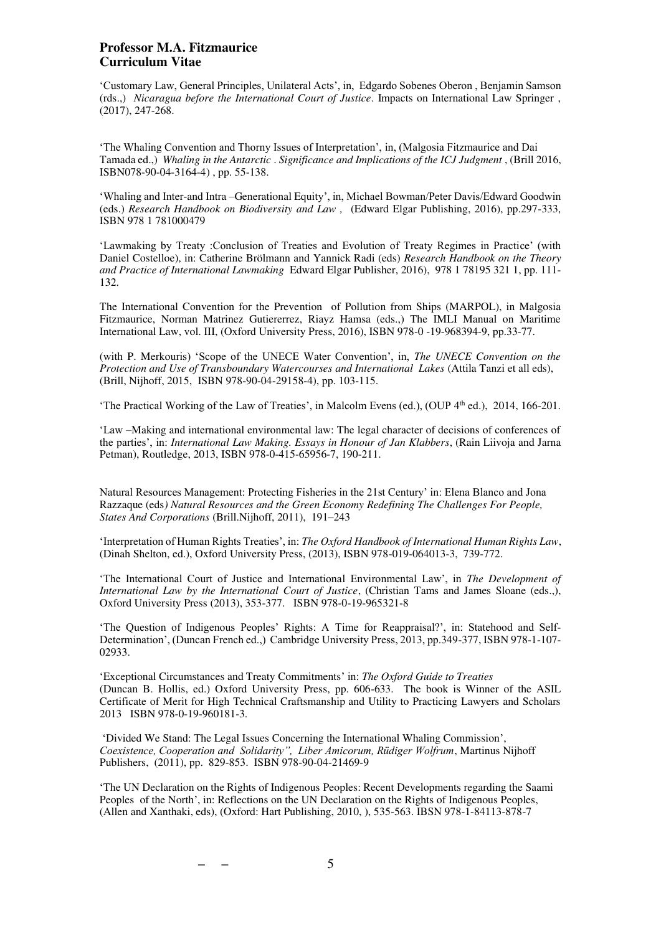'Customary Law, General Principles, Unilateral Acts', in, Edgardo Sobenes Oberon , Benjamin Samson (rds.,) *Nicaragua before the International Court of Justice*. Impacts on International Law Springer , (2017), 247-268.

'The Whaling Convention and Thorny Issues of Interpretation', in, (Malgosia Fitzmaurice and Dai Tamada ed.,) *Whaling in the Antarctic* . *Significance and Implications of the ICJ Judgment* , (Brill 2016, ISBN078-90-04-3164-4) , pp. 55-138.

'Whaling and Inter-and Intra –Generational Equity', in, Michael Bowman/Peter Davis/Edward Goodwin (eds.) *Research Handbook on Biodiversity and Law ,* (Edward Elgar Publishing, 2016), pp.297-333, ISBN 978 1 781000479

'Lawmaking by Treaty :Conclusion of Treaties and Evolution of Treaty Regimes in Practice' (with Daniel Costelloe), in: Catherine Brölmann and Yannick Radi (eds) *Research Handbook on the Theory and Practice of International Lawmaking* Edward Elgar Publisher, 2016), 978 1 78195 321 1, pp. 111- 132.

The International Convention for the Prevention of Pollution from Ships (MARPOL), in Malgosia Fitzmaurice, Norman Matrinez Gutiererrez, Riayz Hamsa (eds.,) The IMLI Manual on Maritime International Law, vol. III, (Oxford University Press, 2016), ISBN 978-0 -19-968394-9, pp.33-77.

(with P. Merkouris) 'Scope of the UNECE Water Convention', in, *The UNECE Convention on the Protection and Use of Transboundary Watercourses and International Lakes* (Attila Tanzi et all eds), (Brill, Nijhoff, 2015, ISBN 978-90-04-29158-4), pp. 103-115.

'The Practical Working of the Law of Treaties', in Malcolm Evens (ed.), (OUP 4th ed.), 2014, 166-201.

'Law –Making and international environmental law: The legal character of decisions of conferences of the parties', in: *International Law Making. Essays in Honour of Jan Klabbers*, (Rain Liivoja and Jarna Petman), Routledge, 2013, ISBN 978-0-415-65956-7, 190-211.

Natural Resources Management: Protecting Fisheries in the 21st Century' in: Elena Blanco and Jona Razzaque (eds*) Natural Resources and the Green Economy Redefining The Challenges For People, States And Corporations* (Brill.Nijhoff, 2011), 191–243

'Interpretation of Human Rights Treaties', in: *The Oxford Handbook of International Human Rights Law*, (Dinah Shelton, ed.), Oxford University Press, (2013), ISBN 978-019-064013-3, 739-772.

'The International Court of Justice and International Environmental Law', in *The Development of International Law by the International Court of Justice*, (Christian Tams and James Sloane (eds.,), Oxford University Press (2013), 353-377. ISBN 978-0-19-965321-8

'The Question of Indigenous Peoples' Rights: A Time for Reappraisal?', in: Statehood and Self-Determination', (Duncan French ed.,) Cambridge University Press, 2013, pp.349-377, ISBN 978-1-107- 02933.

'Exceptional Circumstances and Treaty Commitments' in: *The Oxford Guide to Treaties*  (Duncan B. Hollis, ed.) Oxford University Press, pp. 606-633. The book is Winner of the ASIL Certificate of Merit for High Technical Craftsmanship and Utility to Practicing Lawyers and Scholars 2013 ISBN 978-0-19-960181-3.

'Divided We Stand: The Legal Issues Concerning the International Whaling Commission', *Coexistence, Cooperation and Solidarity", Liber Amicorum, Rüdiger Wolfrum*, Martinus Nijhoff Publishers, (2011), pp. 829-853. ISBN 978-90-04-21469-9

'The UN Declaration on the Rights of Indigenous Peoples: Recent Developments regarding the Saami Peoples of the North', in: Reflections on the UN Declaration on the Rights of Indigenous Peoples, (Allen and Xanthaki, eds), (Oxford: Hart Publishing, 2010, ), 535-563. IBSN 978-1-84113-878-7

**– –** 5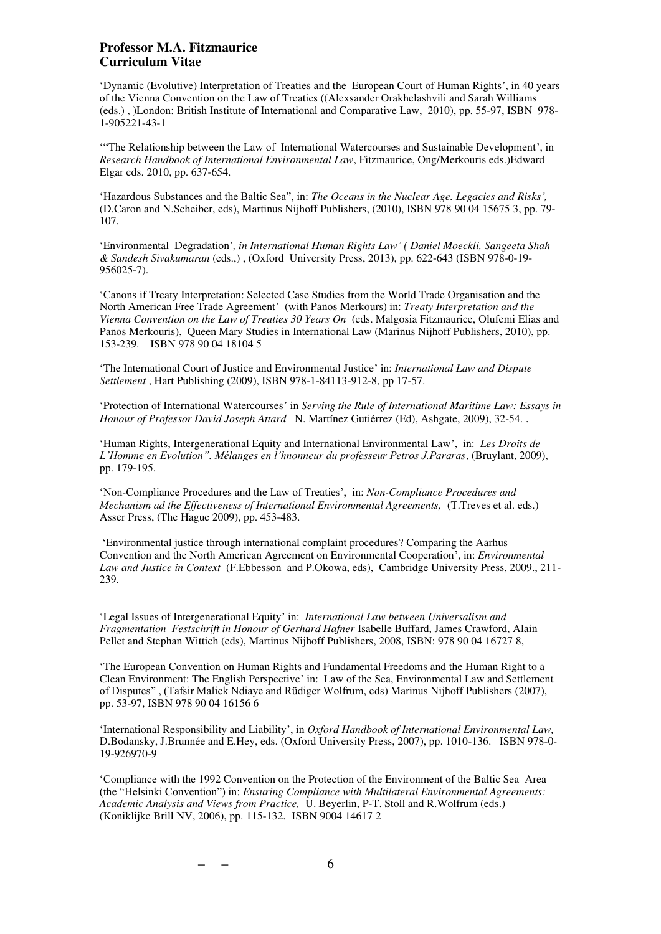'Dynamic (Evolutive) Interpretation of Treaties and the European Court of Human Rights', in 40 years of the Vienna Convention on the Law of Treaties ((Alexsander Orakhelashvili and Sarah Williams (eds.) , )London: British Institute of International and Comparative Law, 2010), pp. 55-97, ISBN 978- 1-905221-43-1

'"The Relationship between the Law of International Watercourses and Sustainable Development', in *Research Handbook of International Environmental Law*, Fitzmaurice, Ong/Merkouris eds.)Edward Elgar eds. 2010, pp. 637-654.

'Hazardous Substances and the Baltic Sea", in: *The Oceans in the Nuclear Age. Legacies and Risks',*  (D.Caron and N.Scheiber, eds), Martinus Nijhoff Publishers, (2010), ISBN 978 90 04 15675 3, pp. 79- 107.

'Environmental Degradation'*, in International Human Rights Law' ( Daniel Moeckli, Sangeeta Shah & Sandesh Sivakumaran* (eds.,) , (Oxford University Press, 2013), pp. 622-643 (ISBN 978-0-19- 956025-7).

'Canons if Treaty Interpretation: Selected Case Studies from the World Trade Organisation and the North American Free Trade Agreement' (with Panos Merkours) in: *Treaty Interpretation and the Vienna Convention on the Law of Treaties 30 Years On* (eds. Malgosia Fitzmaurice, Olufemi Elias and Panos Merkouris), Queen Mary Studies in International Law (Marinus Nijhoff Publishers, 2010), pp. 153-239. ISBN 978 90 04 18104 5

'The International Court of Justice and Environmental Justice' in: *International Law and Dispute Settlement* , Hart Publishing (2009), ISBN 978-1-84113-912-8, pp 17-57.

'Protection of International Watercourses' in *Serving the Rule of International Maritime Law: Essays in Honour of Professor David Joseph Attard* [N. Martínez Gutiérrez](http://www.amazon.co.uk/exec/obidos/search-handle-url?_encoding=UTF8&search-type=ss&index=books-uk&field-author=Norman%20A.%20Mart%C3%ADnez%20Guti%C3%A9rrez) (Ed), Ashgate, 2009), 32-54. .

'Human Rights, Intergenerational Equity and International Environmental Law', in: *Les Droits de L'Homme en Evolution". Mélanges en l'hnonneur du professeur Petros J.Pararas*, (Bruylant, 2009), pp. 179-195.

'Non-Compliance Procedures and the Law of Treaties', in: *Non-Compliance Procedures and Mechanism ad the Effectiveness of International Environmental Agreements,* (T.Treves et al. eds.) Asser Press, (The Hague 2009), pp. 453-483.

'Environmental justice through international complaint procedures? Comparing the Aarhus Convention and the North American Agreement on Environmental Cooperation', in: *Environmental Law and Justice in Context* (F.Ebbesson and P.Okowa, eds), Cambridge University Press, 2009., 211- 239.

'Legal Issues of Intergenerational Equity' in: *International Law between Universalism and Fragmentation Festschrift in Honour of Gerhard Hafner* Isabelle Buffard, James Crawford, Alain Pellet and Stephan Wittich (eds), Martinus Nijhoff Publishers, 2008, ISBN: 978 90 04 16727 8,

'The European Convention on Human Rights and Fundamental Freedoms and the Human Right to a Clean Environment: The English Perspective' in: Law of the Sea, Environmental Law and Settlement of Disputes" , (Tafsir Malick Ndiaye and Rüdiger Wolfrum, eds) Marinus Nijhoff Publishers (2007), pp. 53-97, ISBN 978 90 04 16156 6

'International Responsibility and Liability', in *Oxford Handbook of International Environmental Law,*  D.Bodansky, J.Brunnée and E.Hey, eds. (Oxford University Press, 2007), pp. 1010-136. ISBN 978-0- 19-926970-9

'Compliance with the 1992 Convention on the Protection of the Environment of the Baltic Sea Area (the "Helsinki Convention") in: *Ensuring Compliance with Multilateral Environmental Agreements: Academic Analysis and Views from Practice,* U. Beyerlin, P-T. Stoll and R.Wolfrum (eds.) (Koniklijke Brill NV, 2006), pp. 115-132. ISBN 9004 14617 2

**– –** 6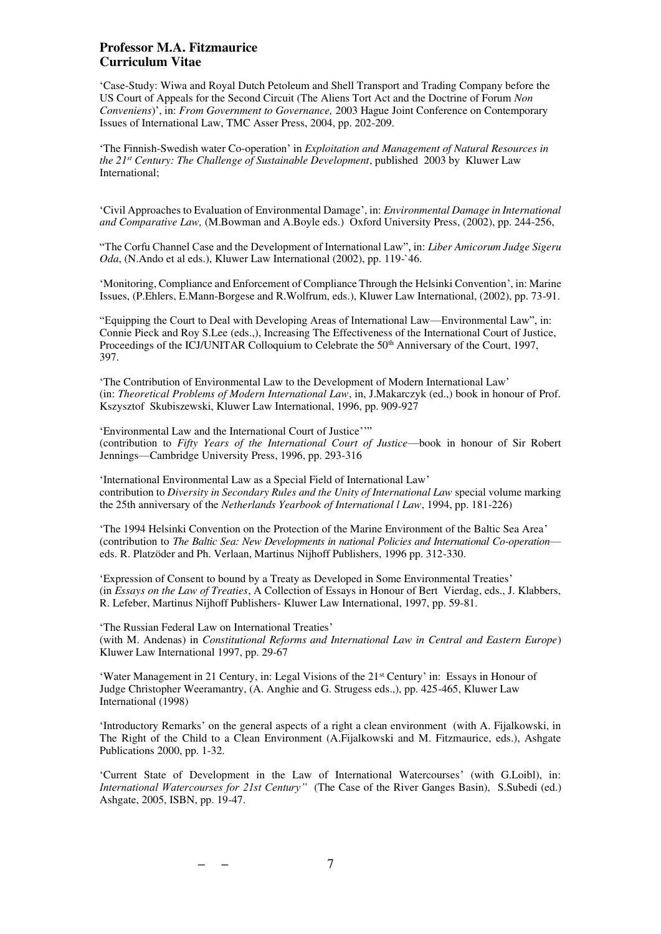'Case-Study: Wiwa and Royal Dutch Petoleum and Shell Transport and Trading Company before the US Court of Appeals for the Second Circuit (The Aliens Tort Act and the Doctrine of Forum *Non Conveniens*)', in: *From Government to Governance,* 2003 Hague Joint Conference on Contemporary Issues of International Law, TMC Asser Press, 2004, pp. 202-209.

'The Finnish-Swedish water Co-operation' in *Exploitation and Management of Natural Resources in the 21st Century: The Challenge of Sustainable Development*, published 2003 by Kluwer Law International;

'Civil Approaches to Evaluation of Environmental Damage', in: *Environmental Damage in International and Comparative Law,* (M.Bowman and A.Boyle eds.) Oxford University Press, (2002), pp. 244-256,

"The Corfu Channel Case and the Development of International Law", in: *Liber Amicorum Judge Sigeru Oda*, (N.Ando et al eds.), Kluwer Law International (2002), pp. 119-`46.

'Monitoring, Compliance and Enforcement of Compliance Through the Helsinki Convention', in: Marine Issues, (P.Ehlers, E.Mann-Borgese and R.Wolfrum, eds.), Kluwer Law International, (2002), pp. 73-91.

"Equipping the Court to Deal with Developing Areas of International Law—Environmental Law", in: Connie Pieck and Roy S.Lee (eds.,), Increasing The Effectiveness of the International Court of Justice, Proceedings of the ICJ/UNITAR Colloquium to Celebrate the 50<sup>th</sup> Anniversary of the Court, 1997, 397.

'The Contribution of Environmental Law to the Development of Modern International Law' (in: *Theoretical Problems of Modern International Law*, in, J.Makarczyk (ed.,) book in honour of Prof. Kszysztof Skubiszewski, Kluwer Law International, 1996, pp. 909-927

'Environmental Law and the International Court of Justice''" (contribution to *Fifty Years of the International Court of Justice*—book in honour of Sir Robert Jennings—Cambridge University Press, 1996, pp. 293-316

'International Environmental Law as a Special Field of International Law' contribution to *Diversity in Secondary Rules and the Unity of International Law* special volume marking the 25th anniversary of the *Netherlands Yearbook of International l Law*, 1994, pp. 181-226)

'The 1994 Helsinki Convention on the Protection of the Marine Environment of the Baltic Sea Area' (contribution to *The Baltic Sea: New Developments in national Policies and International Co-operation* eds. R. Platzöder and Ph. Verlaan, Martinus Nijhoff Publishers, 1996 pp. 312-330.

'Expression of Consent to bound by a Treaty as Developed in Some Environmental Treaties' (in *Essays on the Law of Treaties*, A Collection of Essays in Honour of Bert Vierdag, eds., J. Klabbers, R. Lefeber, Martinus Nijhoff Publishers- Kluwer Law International, 1997, pp. 59-81.

'The Russian Federal Law on International Treaties' (with M. Andenas) in *Constitutional Reforms and International Law in Central and Eastern Europe*) Kluwer Law International 1997, pp. 29-67

'Water Management in 21 Century, in: Legal Visions of the 21st Century' in: Essays in Honour of Judge Christopher Weeramantry, (A. Anghie and G. Strugess eds.,), pp. 425-465, Kluwer Law International (1998)

'Introductory Remarks' on the general aspects of a right a clean environment (with A. Fijalkowski, in The Right of the Child to a Clean Environment (A.Fijalkowski and M. Fitzmaurice, eds.), Ashgate Publications 2000, pp. 1-32.

'Current State of Development in the Law of International Watercourses' (with G.Loibl), in: *International Watercourses for 21st Century"* (The Case of the River Ganges Basin), S.Subedi (ed.) Ashgate, 2005, ISBN, pp. 19-47.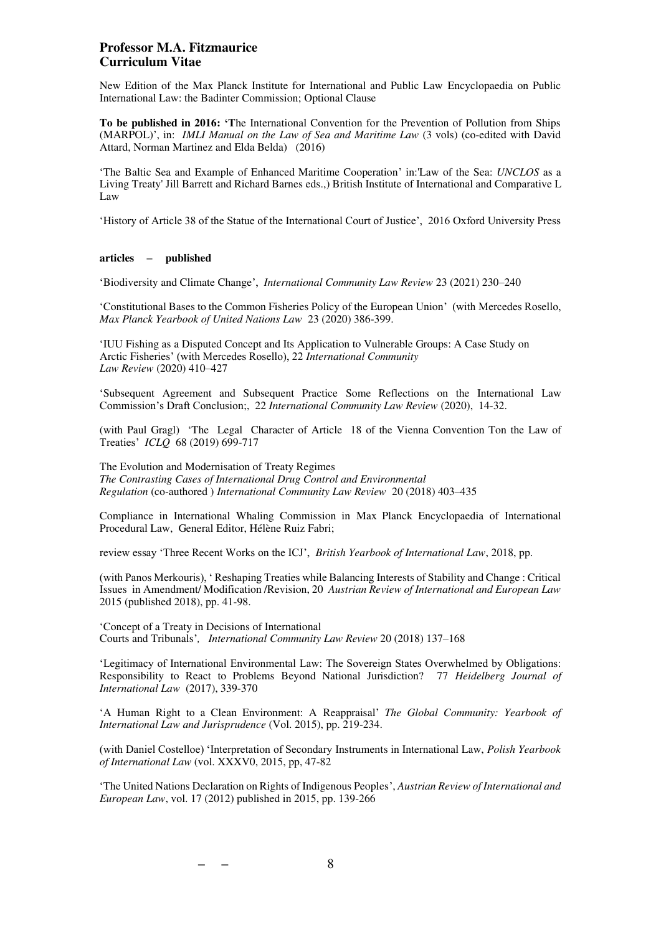New Edition of the Max Planck Institute for International and Public Law Encyclopaedia on Public International Law: the Badinter Commission; Optional Clause

**To be published in 2016: 'T**he International Convention for the Prevention of Pollution from Ships (MARPOL)', in: *IMLI Manual on the Law of Sea and Maritime Law* (3 vols) (co-edited with David Attard, Norman Martinez and Elda Belda) (2016)

'The Baltic Sea and Example of Enhanced Maritime Cooperation' in:'Law of the Sea: *UNCLOS* as a Living Treaty' Jill Barrett and Richard Barnes eds.,) British Institute of International and Comparative L Law

'History of Article 38 of the Statue of the International Court of Justice', 2016 Oxford University Press

### **articles – published**

'Biodiversity and Climate Change', *International Community Law Review* 23 (2021) 230–240

'Constitutional Bases to the Common Fisheries Policy of the European Union' (with Mercedes Rosello, *Max Planck Yearbook of United Nations Law* 23 (2020) 386-399.

'IUU Fishing as a Disputed Concept and Its Application to Vulnerable Groups: A Case Study on Arctic Fisheries' (with Mercedes Rosello), 22 *International Community Law Review* (2020) 410–427

'Subsequent Agreement and Subsequent Practice Some Reflections on the International Law Commission's Draft Conclusion;, 22 *International Community Law Review* (2020), 14-32.

(with Paul Gragl) 'The Legal Character of Article 18 of the Vienna Convention Ton the Law of Treaties' *ICLQ* 68 (2019) 699-717

The Evolution and Modernisation of Treaty Regimes *The Contrasting Cases of International Drug Control and Environmental Regulation* (co-authored ) *International Community Law Review* 20 (2018) 403–435

Compliance in International Whaling Commission in Max Planck Encyclopaedia of International Procedural Law, General Editor, Hélène Ruiz Fabri;

review essay 'Three Recent Works on the ICJ', *British Yearbook of International Law*, 2018, pp.

(with Panos Merkouris), ' Reshaping Treaties while Balancing Interests of Stability and Change : Critical Issues in Amendment/ Modification /Revision, 20 *Austrian Review of International and European Law*  2015 (published 2018), pp. 41-98.

'Concept of a Treaty in Decisions of International Courts and Tribunals'*, International Community Law Review* 20 (2018) 137–168

'Legitimacy of International Environmental Law: The Sovereign States Overwhelmed by Obligations: Responsibility to React to Problems Beyond National Jurisdiction? 77 *Heidelberg Journal of International Law* (2017), 339-370

'A Human Right to a Clean Environment: A Reappraisal' *The Global Community: Yearbook of International Law and Jurisprudence* (Vol. 2015), pp. 219-234.

(with Daniel Costelloe) 'Interpretation of Secondary Instruments in International Law, *Polish Yearbook of International Law* (vol. XXXV0, 2015, pp, 47-82

'The United Nations Declaration on Rights of Indigenous Peoples', *Austrian Review of International and European Law*, vol. 17 (2012) published in 2015, pp. 139-266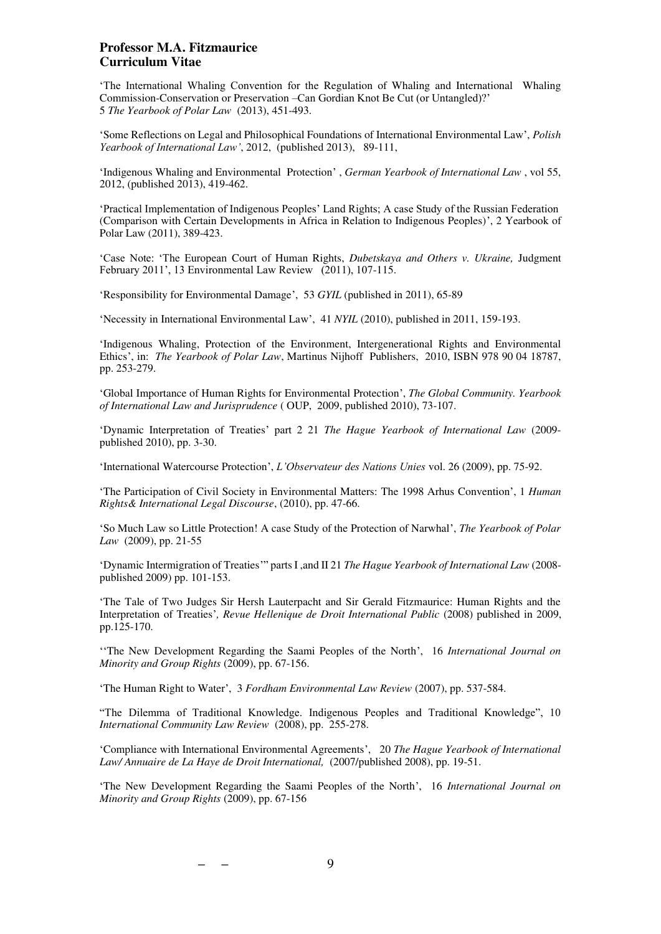'The International Whaling Convention for the Regulation of Whaling and International Whaling Commission-Conservation or Preservation –Can Gordian Knot Be Cut (or Untangled)?' 5 *The Yearbook of Polar Law* (2013), 451-493.

'Some Reflections on Legal and Philosophical Foundations of International Environmental Law', *Polish Yearbook of International Law'*, 2012, (published 2013), 89-111,

'Indigenous Whaling and Environmental Protection' , *German Yearbook of International Law* , vol 55, 2012, (published 2013), 419-462.

'Practical Implementation of Indigenous Peoples' Land Rights; A case Study of the Russian Federation (Comparison with Certain Developments in Africa in Relation to Indigenous Peoples)', 2 Yearbook of Polar Law (2011), 389-423.

'Case Note: 'The European Court of Human Rights, *Dubetskaya and Others v. Ukraine,* Judgment February 2011', 13 Environmental Law Review (2011), 107-115.

'Responsibility for Environmental Damage', 53 *GYIL* (published in 2011), 65-89

'Necessity in International Environmental Law', 41 *NYIL* (2010), published in 2011, 159-193.

'Indigenous Whaling, Protection of the Environment, Intergenerational Rights and Environmental Ethics', in: *The Yearbook of Polar Law*, Martinus Nijhoff Publishers, 2010, ISBN 978 90 04 18787, pp. 253-279.

'Global Importance of Human Rights for Environmental Protection', *The Global Community. Yearbook of International Law and Jurisprudence* ( OUP, 2009, published 2010), 73-107.

'Dynamic Interpretation of Treaties' part 2 21 *The Hague Yearbook of International Law* (2009 published 2010), pp. 3-30.

'International Watercourse Protection', *L'Observateur des Nations Unies* vol. 26 (2009), pp. 75-92.

'The Participation of Civil Society in Environmental Matters: The 1998 Arhus Convention', 1 *Human Rights& International Legal Discourse*, (2010), pp. 47-66.

'So Much Law so Little Protection! A case Study of the Protection of Narwhal', *The Yearbook of Polar Law* (2009), pp. 21-55

'Dynamic Intermigration of Treaties'" parts I ,and II 21 *The Hague Yearbook of International Law* (2008 published 2009) pp. 101-153.

'The Tale of Two Judges Sir Hersh Lauterpacht and Sir Gerald Fitzmaurice: Human Rights and the Interpretation of Treaties'*, Revue Hellenique de Droit International Public* (2008) published in 2009, pp.125-170.

''The New Development Regarding the Saami Peoples of the North', 16 *International Journal on Minority and Group Rights* (2009), pp. 67-156.

'The Human Right to Water', 3 *Fordham Environmental Law Review* (2007), pp. 537-584.

"The Dilemma of Traditional Knowledge. Indigenous Peoples and Traditional Knowledge", 10 *International Community Law Review* (2008), pp. 255-278.

'Compliance with International Environmental Agreements', 20 *The Hague Yearbook of International Law/ Annuaire de La Haye de Droit International,* (2007/published 2008), pp. 19-51.

'The New Development Regarding the Saami Peoples of the North', 16 *International Journal on Minority and Group Rights* (2009), pp. 67-156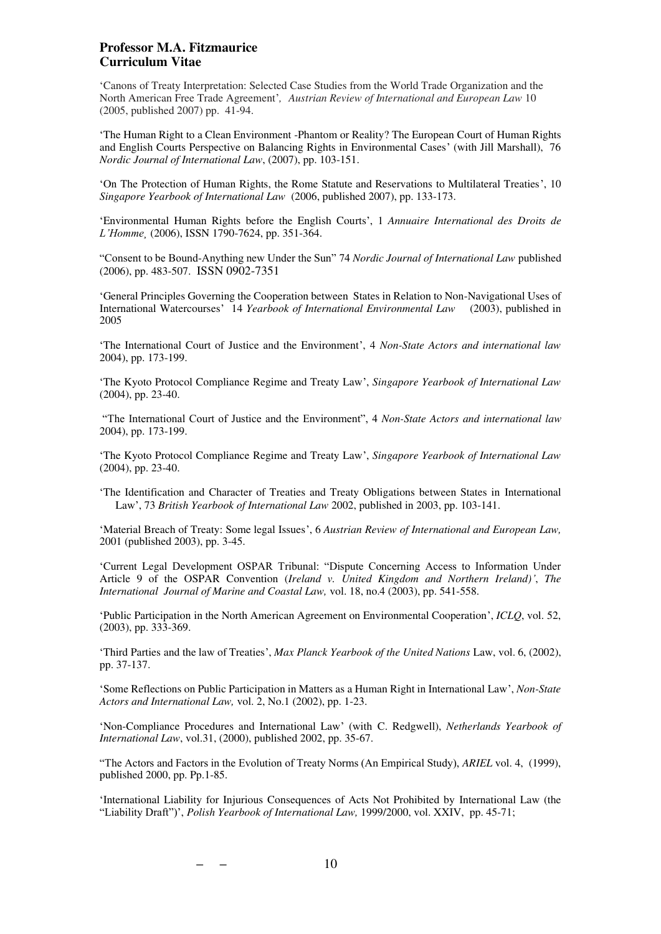'Canons of Treaty Interpretation: Selected Case Studies from the World Trade Organization and the North American Free Trade Agreement'*, Austrian Review of International and European Law* 10 (2005, published 2007) pp. 41-94.

'The Human Right to a Clean Environment -Phantom or Reality? The European Court of Human Rights and English Courts Perspective on Balancing Rights in Environmental Cases' (with Jill Marshall), 76 *Nordic Journal of International Law*, (2007), pp. 103-151.

'On The Protection of Human Rights, the Rome Statute and Reservations to Multilateral Treaties', 10 *Singapore Yearbook of International Law* (2006, published 2007), pp. 133-173.

'Environmental Human Rights before the English Courts', 1 *Annuaire International des Droits de L'Homme¸* (2006), ISSN 1790-7624, pp. 351-364.

"Consent to be Bound-Anything new Under the Sun" 74 *Nordic Journal of International Law* published (2006), pp. 483-507. ISSN 0902-7351

'General Principles Governing the Cooperation between States in Relation to Non-Navigational Uses of International Watercourses' 14 *Yearbook of International Environmental Law* (2003), published in 2005

'The International Court of Justice and the Environment', 4 *Non-State Actors and international law* 2004), pp. 173-199.

'The Kyoto Protocol Compliance Regime and Treaty Law', *Singapore Yearbook of International Law*  (2004), pp. 23-40.

"The International Court of Justice and the Environment", 4 *Non-State Actors and international law* 2004), pp. 173-199.

'The Kyoto Protocol Compliance Regime and Treaty Law', *Singapore Yearbook of International Law*  (2004), pp. 23-40.

'The Identification and Character of Treaties and Treaty Obligations between States in International Law', 73 *British Yearbook of International Law* 2002, published in 2003, pp. 103-141.

'Material Breach of Treaty: Some legal Issues', 6 *Austrian Review of International and European Law,*  2001 (published 2003), pp. 3-45.

'Current Legal Development OSPAR Tribunal: "Dispute Concerning Access to Information Under Article 9 of the OSPAR Convention (*Ireland v. United Kingdom and Northern Ireland)'*, *The International Journal of Marine and Coastal Law,* vol. 18, no.4 (2003), pp. 541-558.

'Public Participation in the North American Agreement on Environmental Cooperation', *ICLQ*, vol. 52, (2003), pp. 333-369.

'Third Parties and the law of Treaties', *Max Planck Yearbook of the United Nations* Law, vol. 6, (2002), pp. 37-137.

'Some Reflections on Public Participation in Matters as a Human Right in International Law', *Non-State Actors and International Law,* vol. 2, No.1 (2002), pp. 1-23.

'Non-Compliance Procedures and International Law' (with C. Redgwell), *Netherlands Yearbook of International Law*, vol.31, (2000), published 2002, pp. 35-67.

"The Actors and Factors in the Evolution of Treaty Norms (An Empirical Study), *ARIEL* vol. 4, (1999), published 2000, pp. Pp.1-85.

'International Liability for Injurious Consequences of Acts Not Prohibited by International Law (the "Liability Draft")', *Polish Yearbook of International Law,* 1999/2000, vol. XXIV, pp. 45-71;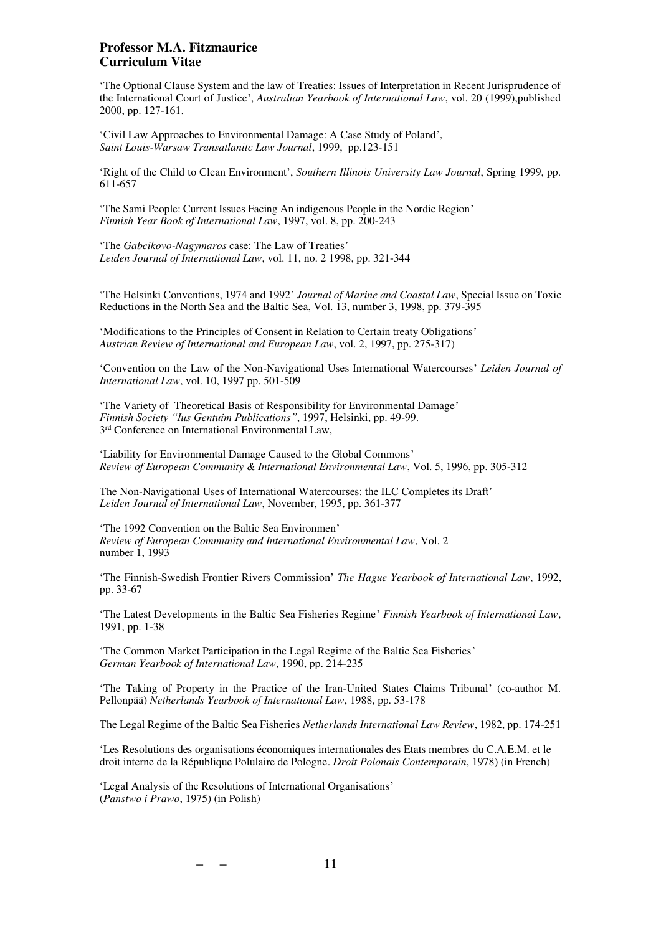'The Optional Clause System and the law of Treaties: Issues of Interpretation in Recent Jurisprudence of the International Court of Justice', *Australian Yearbook of International Law*, vol. 20 (1999),published 2000, pp. 127-161.

'Civil Law Approaches to Environmental Damage: A Case Study of Poland', *Saint Louis-Warsaw Transatlanitc Law Journal*, 1999, pp.123-151

'Right of the Child to Clean Environment', *Southern Illinois University Law Journal*, Spring 1999, pp. 611-657

'The Sami People: Current Issues Facing An indigenous People in the Nordic Region' *Finnish Year Book of International Law*, 1997, vol. 8, pp. 200-243

'The *Gabcikovo-Nagymaros* case: The Law of Treaties' *Leiden Journal of International Law*, vol. 11, no. 2 1998, pp. 321-344

'The Helsinki Conventions, 1974 and 1992' *Journal of Marine and Coastal Law*, Special Issue on Toxic Reductions in the North Sea and the Baltic Sea, Vol. 13, number 3, 1998, pp. 379-395

'Modifications to the Principles of Consent in Relation to Certain treaty Obligations' *Austrian Review of International and European Law*, vol. 2, 1997, pp. 275-317)

'Convention on the Law of the Non-Navigational Uses International Watercourses' *Leiden Journal of International Law*, vol. 10, 1997 pp. 501-509

'The Variety of Theoretical Basis of Responsibility for Environmental Damage' *Finnish Society "Ius Gentuim Publications"*, 1997, Helsinki, pp. 49-99. 3 rd Conference on International Environmental Law,

'Liability for Environmental Damage Caused to the Global Commons' *Review of European Community & International Environmental Law*, Vol. 5, 1996, pp. 305-312

The Non-Navigational Uses of International Watercourses: the ILC Completes its Draft' *Leiden Journal of International Law*, November, 1995, pp. 361-377

'The 1992 Convention on the Baltic Sea Environmen' *Review of European Community and International Environmental Law*, Vol. 2 number 1, 1993

'The Finnish-Swedish Frontier Rivers Commission' *The Hague Yearbook of International Law*, 1992, pp. 33-67

'The Latest Developments in the Baltic Sea Fisheries Regime' *Finnish Yearbook of International Law*, 1991, pp. 1-38

'The Common Market Participation in the Legal Regime of the Baltic Sea Fisheries' *German Yearbook of International Law*, 1990, pp. 214-235

'The Taking of Property in the Practice of the Iran-United States Claims Tribunal' (co-author M. Pellonpää) *Netherlands Yearbook of International Law*, 1988, pp. 53-178

The Legal Regime of the Baltic Sea Fisheries *Netherlands International Law Review*, 1982, pp. 174-251

'Les Resolutions des organisations économiques internationales des Etats membres du C.A.E.M. et le droit interne de la République Polulaire de Pologne. *Droit Polonais Contemporain*, 1978) (in French)

'Legal Analysis of the Resolutions of International Organisations' (*Panstwo i Prawo*, 1975) (in Polish)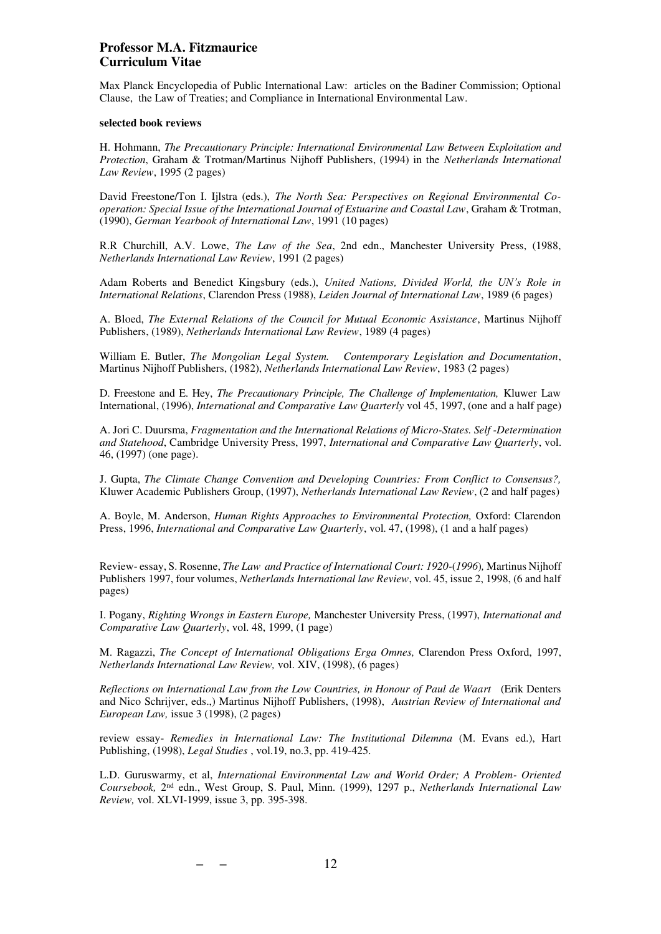Max Planck Encyclopedia of Public International Law: articles on the Badiner Commission; Optional Clause, the Law of Treaties; and Compliance in International Environmental Law.

#### **selected book reviews**

H. Hohmann, *The Precautionary Principle: International Environmental Law Between Exploitation and Protection*, Graham & Trotman/Martinus Nijhoff Publishers, (1994) in the *Netherlands International Law Review*, 1995 (2 pages)

David Freestone/Ton I. Ijlstra (eds.), *The North Sea: Perspectives on Regional Environmental Cooperation: Special Issue of the International Journal of Estuarine and Coastal Law*, Graham & Trotman, (1990), *German Yearbook of International Law*, 1991 (10 pages)

R.R Churchill, A.V. Lowe, *The Law of the Sea*, 2nd edn., Manchester University Press, (1988, *Netherlands International Law Review*, 1991 (2 pages)

Adam Roberts and Benedict Kingsbury (eds.), *United Nations, Divided World, the UN's Role in International Relations*, Clarendon Press (1988), *Leiden Journal of International Law*, 1989 (6 pages)

A. Bloed, *The External Relations of the Council for Mutual Economic Assistance*, Martinus Nijhoff Publishers, (1989), *Netherlands International Law Review*, 1989 (4 pages)

William E. Butler, *The Mongolian Legal System. Contemporary Legislation and Documentation*, Martinus Nijhoff Publishers, (1982), *Netherlands International Law Review*, 1983 (2 pages)

D. Freestone and E. Hey, *The Precautionary Principle, The Challenge of Implementation,* Kluwer Law International, (1996), *International and Comparative Law Quarterly* vol 45, 1997, (one and a half page)

A. Jori C. Duursma, *Fragmentation and the International Relations of Micro-States. Self -Determination and Statehood*, Cambridge University Press, 1997, *International and Comparative Law Quarterly*, vol. 46, (1997) (one page).

J. Gupta, *The Climate Change Convention and Developing Countries: From Conflict to Consensus?,* Kluwer Academic Publishers Group, (1997), *Netherlands International Law Review*, (2 and half pages)

A. Boyle, M. Anderson, *Human Rights Approaches to Environmental Protection,* Oxford: Clarendon Press, 1996, *International and Comparative Law Quarterly*, vol. 47, (1998), (1 and a half pages)

Review- essay, S. Rosenne, *The Law and Practice of International Court: 1920-*(*1996*)*,* Martinus Nijhoff Publishers 1997, four volumes, *Netherlands International law Review*, vol. 45, issue 2, 1998, (6 and half pages)

I. Pogany, *Righting Wrongs in Eastern Europe,* Manchester University Press, (1997), *International and Comparative Law Quarterly*, vol. 48, 1999, (1 page)

M. Ragazzi, *The Concept of International Obligations Erga Omnes,* Clarendon Press Oxford, 1997, *Netherlands International Law Review,* vol. XIV, (1998), (6 pages)

*Reflections on International Law from the Low Countries, in Honour of Paul de Waart* (Erik Denters and Nico Schrijver, eds.,) Martinus Nijhoff Publishers, (1998), *Austrian Review of International and European Law,* issue 3 (1998), (2 pages)

review essay- *Remedies in International Law: The Institutional Dilemma* (M. Evans ed.), Hart Publishing, (1998), *Legal Studies* , vol.19, no.3, pp. 419-425.

L.D. Guruswarmy, et al, *International Environmental Law and World Order; A Problem- Oriented Coursebook,* 2nd edn., West Group, S. Paul, Minn. (1999), 1297 p., *Netherlands International Law Review,* vol. XLVI-1999, issue 3, pp. 395-398.